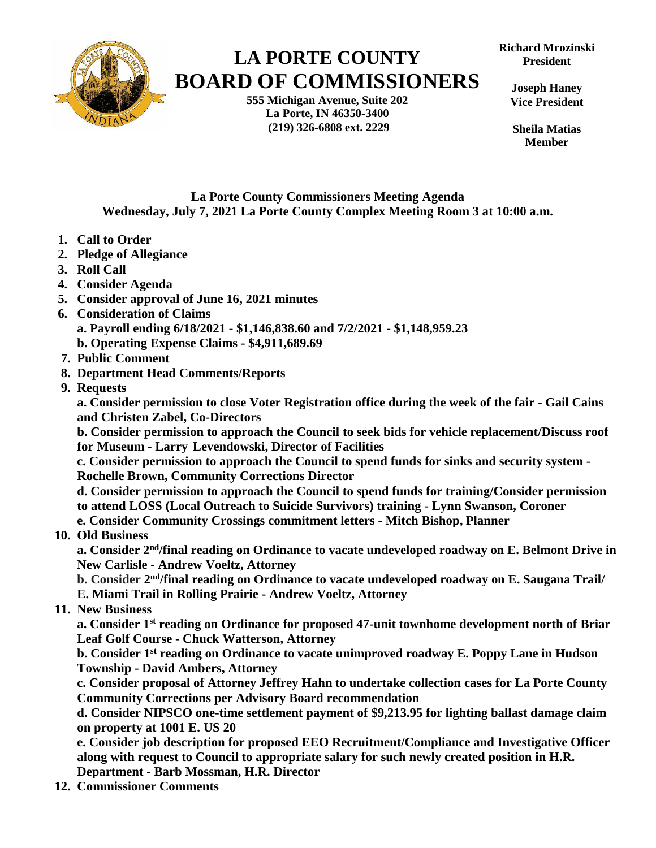

# **LA PORTE COUNTY BOARD OF COMMISSIONERS**

**555 Michigan Avenue, Suite 202 La Porte, IN 46350-3400 (219) 326-6808 ext. 2229**

**Richard Mrozinski President**

**Joseph Haney Vice President**

**Sheila Matias Member**

## **La Porte County Commissioners Meeting Agenda Wednesday, July 7, 2021 La Porte County Complex Meeting Room 3 at 10:00 a.m.**

- **1. Call to Order**
- **2. Pledge of Allegiance**
- **3. Roll Call**
- **4. Consider Agenda**
- **5. Consider approval of June 16, 2021 minutes**
- **6. Consideration of Claims a. Payroll ending 6/18/2021 - \$1,146,838.60 and 7/2/2021 - \$1,148,959.23 b. Operating Expense Claims - \$4,911,689.69**
- **7. Public Comment**
- **8. Department Head Comments/Reports**
- **9. Requests**

**a. Consider permission to close Voter Registration office during the week of the fair - Gail Cains and Christen Zabel, Co-Directors**

**b. Consider permission to approach the Council to seek bids for vehicle replacement/Discuss roof for Museum - Larry Levendowski, Director of Facilities**

**c. Consider permission to approach the Council to spend funds for sinks and security system - Rochelle Brown, Community Corrections Director**

**d. Consider permission to approach the Council to spend funds for training/Consider permission to attend LOSS (Local Outreach to Suicide Survivors) training - Lynn Swanson, Coroner**

**e. Consider Community Crossings commitment letters - Mitch Bishop, Planner**

## **10. Old Business**

a. Consider 2<sup>nd</sup>/final reading on Ordinance to vacate undeveloped roadway on E. Belmont Drive in **New Carlisle - Andrew Voeltz, Attorney** 

b. Consider 2<sup>nd</sup>/final reading on Ordinance to vacate undeveloped roadway on E. Saugana Trail/ **E. Miami Trail in Rolling Prairie - Andrew Voeltz, Attorney** 

#### **11. New Business**

**a. Consider 1 st reading on Ordinance for proposed 47-unit townhome development north of Briar Leaf Golf Course - Chuck Watterson, Attorney**

**b. Consider 1 st reading on Ordinance to vacate unimproved roadway E. Poppy Lane in Hudson Township - David Ambers, Attorney**

**c. Consider proposal of Attorney Jeffrey Hahn to undertake collection cases for La Porte County Community Corrections per Advisory Board recommendation**

**d. Consider NIPSCO one-time settlement payment of \$9,213.95 for lighting ballast damage claim on property at 1001 E. US 20**

**e. Consider job description for proposed EEO Recruitment/Compliance and Investigative Officer along with request to Council to appropriate salary for such newly created position in H.R. Department - Barb Mossman, H.R. Director**

 **12. Commissioner Comments**